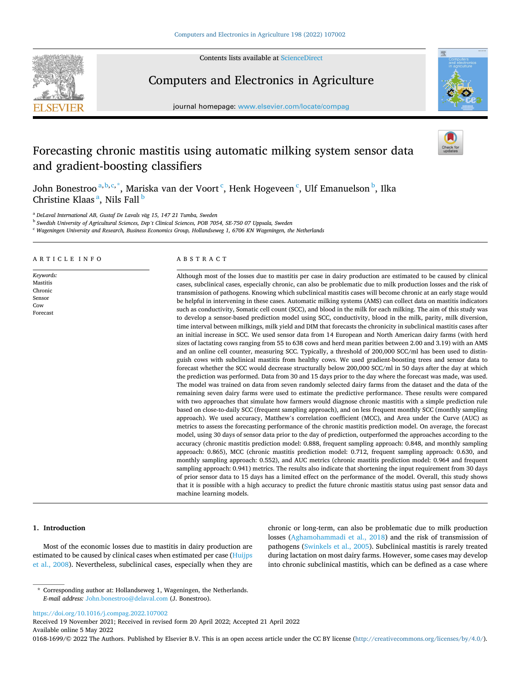

Contents lists available at [ScienceDirect](www.sciencedirect.com/science/journal/01681699)

# Computers and Electronics in Agriculture

journal homepage: [www.elsevier.com/locate/compag](https://www.elsevier.com/locate/compag) 



# Forecasting chronic mastitis using automatic milking system sensor data and gradient-boosting classifiers

John Bonestroo<sup>a, b, c, \*</sup>, Mariska van der Voort <sup>c</sup>, Henk Hogeveen <sup>c</sup>, Ulf Emanuelson <sup>b</sup>, Ilka Christine Klaas<sup>a</sup>, Nils Fall <sup>b</sup>

<sup>a</sup> DeLaval International AB, Gustaf De Lavals väg 15, 147 21 Tumba, Sweden

<sup>b</sup> *Swedish University of Agricultural Sciences, Dep't Clinical Sciences, POB 7054, SE-750 07 Uppsala, Sweden* 

<sup>c</sup> *Wageningen University and Research, Business Economics Group, Hollandseweg 1, 6706 KN Wageningen, the Netherlands* 

## ARTICLE INFO

*Keywords:*  Mastitis Chronic Sensor Cow Forecast

ABSTRACT

Although most of the losses due to mastitis per case in dairy production are estimated to be caused by clinical cases, subclinical cases, especially chronic, can also be problematic due to milk production losses and the risk of transmission of pathogens. Knowing which subclinical mastitis cases will become chronic at an early stage would be helpful in intervening in these cases. Automatic milking systems (AMS) can collect data on mastitis indicators such as conductivity, Somatic cell count (SCC), and blood in the milk for each milking. The aim of this study was to develop a sensor-based prediction model using SCC, conductivity, blood in the milk, parity, milk diversion, time interval between milkings, milk yield and DIM that forecasts the chronicity in subclinical mastitis cases after an initial increase in SCC. We used sensor data from 14 European and North American dairy farms (with herd sizes of lactating cows ranging from 55 to 638 cows and herd mean parities between 2.00 and 3.19) with an AMS and an online cell counter, measuring SCC. Typically, a threshold of 200,000 SCC/ml has been used to distinguish cows with subclinical mastitis from healthy cows. We used gradient-boosting trees and sensor data to forecast whether the SCC would decrease structurally below 200,000 SCC/ml in 50 days after the day at which the prediction was performed. Data from 30 and 15 days prior to the day where the forecast was made, was used. The model was trained on data from seven randomly selected dairy farms from the dataset and the data of the remaining seven dairy farms were used to estimate the predictive performance. These results were compared with two approaches that simulate how farmers would diagnose chronic mastitis with a simple prediction rule based on close-to-daily SCC (frequent sampling approach), and on less frequent monthly SCC (monthly sampling approach). We used accuracy, Matthew's correlation coefficient (MCC), and Area under the Curve (AUC) as metrics to assess the forecasting performance of the chronic mastitis prediction model. On average, the forecast model, using 30 days of sensor data prior to the day of prediction, outperformed the approaches according to the accuracy (chronic mastitis prediction model: 0.888, frequent sampling approach: 0.848, and monthly sampling approach: 0.865), MCC (chronic mastitis prediction model: 0.712, frequent sampling approach: 0.630, and monthly sampling approach: 0.552), and AUC metrics (chronic mastitis prediction model: 0.964 and frequent sampling approach: 0.941) metrics. The results also indicate that shortening the input requirement from 30 days of prior sensor data to 15 days has a limited effect on the performance of the model. Overall, this study shows that it is possible with a high accuracy to predict the future chronic mastitis status using past sensor data and machine learning models.

# **1. Introduction**

Most of the economic losses due to mastitis in dairy production are estimated to be caused by clinical cases when estimated per case ([Huijps](#page-8-0)  [et al., 2008\)](#page-8-0). Nevertheless, subclinical cases, especially when they are chronic or long-term, can also be problematic due to milk production losses ([Aghamohammadi et al., 2018](#page-8-0)) and the risk of transmission of pathogens [\(Swinkels et al., 2005](#page-8-0)). Subclinical mastitis is rarely treated during lactation on most dairy farms. However, some cases may develop into chronic subclinical mastitis, which can be defined as a case where

<https://doi.org/10.1016/j.compag.2022.107002>

Available online 5 May 2022 Received 19 November 2021; Received in revised form 20 April 2022; Accepted 21 April 2022

0168-1699/© 2022 The Authors. Published by Elsevier B.V. This is an open access article under the CC BY license [\(http://creativecommons.org/licenses/by/4.0/\)](http://creativecommons.org/licenses/by/4.0/).

<sup>\*</sup> Corresponding author at: Hollandseweg 1, Wageningen, the Netherlands. *E-mail address:* [John.bonestroo@delaval.com](mailto:John.bonestroo@delaval.com) (J. Bonestroo).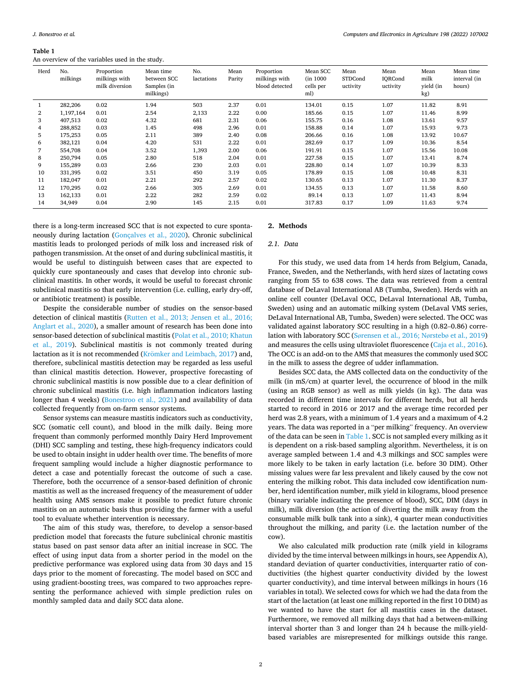#### **Table 1**

An overview of the variables used in the study.

| Herd | No.<br>milkings | Proportion<br>milkings with<br>milk diversion | Mean time<br>between SCC<br>Samples (in<br>milkings) | No.<br>lactations | Mean<br>Parity | Proportion<br>milkings with<br>blood detected | Mean SCC<br>(in 1000<br>cells per<br>ml) | Mean<br>STDCond<br>uctivity | Mean<br>IORCond<br>uctivity | Mean<br>milk<br>vield (in<br>kg) | Mean time<br>interval (in<br>hours) |
|------|-----------------|-----------------------------------------------|------------------------------------------------------|-------------------|----------------|-----------------------------------------------|------------------------------------------|-----------------------------|-----------------------------|----------------------------------|-------------------------------------|
|      | 282,206         | 0.02                                          | 1.94                                                 | 503               | 2.37           | 0.01                                          | 134.01                                   | 0.15                        | 1.07                        | 11.82                            | 8.91                                |
| 2    | 1,197,164       | 0.01                                          | 2.54                                                 | 2,133             | 2.22           | 0.00                                          | 185.66                                   | 0.15                        | 1.07                        | 11.46                            | 8.99                                |
| 3    | 407,513         | 0.02                                          | 4.32                                                 | 681               | 2.31           | 0.06                                          | 155.75                                   | 0.16                        | 1.08                        | 13.61                            | 9.57                                |
| 4    | 288,852         | 0.03                                          | 1.45                                                 | 498               | 2.96           | 0.01                                          | 158.88                                   | 0.14                        | 1.07                        | 15.93                            | 9.73                                |
| 5    | 175,253         | 0.05                                          | 2.11                                                 | 389               | 2.40           | 0.08                                          | 206.66                                   | 0.16                        | 1.08                        | 13.92                            | 10.67                               |
| 6    | 382,121         | 0.04                                          | 4.20                                                 | 531               | 2.22           | 0.01                                          | 282.69                                   | 0.17                        | 1.09                        | 10.36                            | 8.54                                |
| 7    | 554,708         | 0.04                                          | 3.52                                                 | 1,393             | 2.00           | 0.06                                          | 191.91                                   | 0.15                        | 1.07                        | 15.56                            | 10.08                               |
| 8    | 250,794         | 0.05                                          | 2.80                                                 | 518               | 2.04           | 0.01                                          | 227.58                                   | 0.15                        | 1.07                        | 13.41                            | 8.74                                |
| 9    | 155.289         | 0.03                                          | 2.66                                                 | 230               | 2.03           | 0.01                                          | 228.80                                   | 0.14                        | 1.07                        | 10.39                            | 8.33                                |
| 10   | 331,395         | 0.02                                          | 3.51                                                 | 450               | 3.19           | 0.05                                          | 178.89                                   | 0.15                        | 1.08                        | 10.48                            | 8.31                                |
| 11   | 182.047         | 0.01                                          | 2.21                                                 | 292               | 2.57           | 0.02                                          | 130.65                                   | 0.13                        | 1.07                        | 11.30                            | 8.37                                |
| 12   | 170,295         | 0.02                                          | 2.66                                                 | 305               | 2.69           | 0.01                                          | 134.55                                   | 0.13                        | 1.07                        | 11.58                            | 8.60                                |
| 13   | 162,133         | 0.01                                          | 2.22                                                 | 282               | 2.59           | 0.02                                          | 89.14                                    | 0.13                        | 1.07                        | 11.43                            | 8.94                                |
| 14   | 34,949          | 0.04                                          | 2.90                                                 | 145               | 2.15           | 0.01                                          | 317.83                                   | 0.17                        | 1.09                        | 11.63                            | 9.74                                |

there is a long-term increased SCC that is not expected to cure spontaneously during lactation [\(Gonçalves et al., 2020\)](#page-8-0). Chronic subclinical mastitis leads to prolonged periods of milk loss and increased risk of pathogen transmission. At the onset of and during subclinical mastitis, it would be useful to distinguish between cases that are expected to quickly cure spontaneously and cases that develop into chronic subclinical mastitis. In other words, it would be useful to forecast chronic subclinical mastitis so that early intervention (i.e. culling, early dry-off, or antibiotic treatment) is possible.

Despite the considerable number of studies on the sensor-based detection of clinical mastitis [\(Rutten et al., 2013; Jensen et al., 2016;](#page-8-0)  [Anglart et al., 2020](#page-8-0)), a smaller amount of research has been done into sensor-based detection of subclinical mastitis ([Polat et al., 2010; Khatun](#page-8-0)  [et al., 2019](#page-8-0)). Subclinical mastitis is not commonly treated during lactation as it is not recommended (Krömker [and Leimbach, 2017](#page-8-0)) and, therefore, subclinical mastitis detection may be regarded as less useful than clinical mastitis detection. However, prospective forecasting of chronic subclinical mastitis is now possible due to a clear definition of chronic subclinical mastitis (i.e. high inflammation indicators lasting longer than 4 weeks) ([Bonestroo et al., 2021\)](#page-8-0) and availability of data collected frequently from on-farm sensor systems.

Sensor systems can measure mastitis indicators such as conductivity, SCC (somatic cell count), and blood in the milk daily. Being more frequent than commonly performed monthly Dairy Herd Improvement (DHI) SCC sampling and testing, these high-frequency indicators could be used to obtain insight in udder health over time. The benefits of more frequent sampling would include a higher diagnostic performance to detect a case and potentially forecast the outcome of such a case. Therefore, both the occurrence of a sensor-based definition of chronic mastitis as well as the increased frequency of the measurement of udder health using AMS sensors make it possible to predict future chronic mastitis on an automatic basis thus providing the farmer with a useful tool to evaluate whether intervention is necessary.

The aim of this study was, therefore, to develop a sensor-based prediction model that forecasts the future subclinical chronic mastitis status based on past sensor data after an initial increase in SCC. The effect of using input data from a shorter period in the model on the predictive performance was explored using data from 30 days and 15 days prior to the moment of forecasting. The model based on SCC and using gradient-boosting trees, was compared to two approaches representing the performance achieved with simple prediction rules on monthly sampled data and daily SCC data alone.

# **2. Methods**

#### *2.1. Data*

For this study, we used data from 14 herds from Belgium, Canada, France, Sweden, and the Netherlands, with herd sizes of lactating cows ranging from 55 to 638 cows. The data was retrieved from a central database of DeLaval International AB (Tumba, Sweden). Herds with an online cell counter (DeLaval OCC, DeLaval International AB, Tumba, Sweden) using and an automatic milking system (DeLaval VMS series, DeLaval International AB, Tumba, Sweden) were selected. The OCC was validated against laboratory SCC resulting in a high (0.82–0.86) correlation with laboratory SCC (Sø[rensen et al., 2016; N](#page-8-0)ørstebø et al., 2019) and measures the cells using ultraviolet fluorescence [\(Caja et al., 2016](#page-8-0)). The OCC is an add-on to the AMS that measures the commonly used SCC in the milk to assess the degree of udder inflammation.

Besides SCC data, the AMS collected data on the conductivity of the milk (in mS/cm) at quarter level, the occurrence of blood in the milk (using an RGB sensor) as well as milk yields (in kg). The data was recorded in different time intervals for different herds, but all herds started to record in 2016 or 2017 and the average time recorded per herd was 2.8 years, with a minimum of 1.4 years and a maximum of 4.2 years. The data was reported in a "per milking" frequency. An overview of the data can be seen in Table 1. SCC is not sampled every milking as it is dependent on a risk-based sampling algorithm. Nevertheless, it is on average sampled between 1.4 and 4.3 milkings and SCC samples were more likely to be taken in early lactation (i.e. before 30 DIM). Other missing values were far less prevalent and likely caused by the cow not entering the milking robot. This data included cow identification number, herd identification number, milk yield in kilograms, blood presence (binary variable indicating the presence of blood), SCC, DIM (days in milk), milk diversion (the action of diverting the milk away from the consumable milk bulk tank into a sink), 4 quarter mean conductivities throughout the milking, and parity (i.e. the lactation number of the cow).

We also calculated milk production rate (milk yield in kilograms divided by the time interval between milkings in hours, see Appendix A), standard deviation of quarter conductivities, interquarter ratio of conductivities (the highest quarter conductivity divided by the lowest quarter conductivity), and time interval between milkings in hours (16 variables in total). We selected cows for which we had the data from the start of the lactation (at least one milking reported in the first 10 DIM) as we wanted to have the start for all mastitis cases in the dataset. Furthermore, we removed all milking days that had a between-milking interval shorter than 3 and longer than 24 h because the milk-yieldbased variables are misrepresented for milkings outside this range.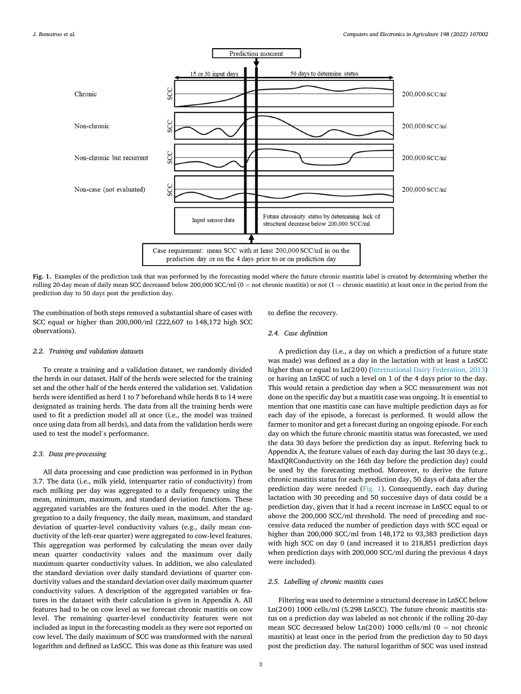<span id="page-2-0"></span>

**Fig. 1.** Examples of the prediction task that was performed by the forecasting model where the future chronic mastitis label is created by determining whether the rolling 20-day mean of daily mean SCC decreased below 200,000 SCC/ml (0 = not chronic mastitis) or not (1 = chronic mastitis) at least once in the period from the prediction day to 50 days post the prediction day.

The combination of both steps removed a substantial share of cases with SCC equal or higher than 200,000/ml (222,607 to 148,172 high SCC observations).

# *2.2. Training and validation datasets*

To create a training and a validation dataset, we randomly divided the herds in our dataset. Half of the herds were selected for the training set and the other half of the herds entered the validation set. Validation herds were identified as herd 1 to 7 beforehand while herds 8 to 14 were designated as training herds. The data from all the training herds were used to fit a prediction model all at once (i.e., the model was trained once using data from all herds), and data from the validation herds were used to test the model's performance.

# *2.3. Data pre-processing*

All data processing and case prediction was performed in in Python 3.7. The data (i.e., milk yield, interquarter ratio of conductivity) from each milking per day was aggregated to a daily frequency using the mean, minimum, maximum, and standard deviation functions. These aggregated variables are the features used in the model. After the aggregation to a daily frequency, the daily mean, maximum, and standard deviation of quarter-level conductivity values (e.g., daily mean conductivity of the left-rear quarter) were aggregated to cow-level features. This aggregation was performed by calculating the mean over daily mean quarter conductivity values and the maximum over daily maximum quarter conductivity values. In addition, we also calculated the standard deviation over daily standard deviations of quarter conductivity values and the standard deviation over daily maximum quarter conductivity values. A description of the aggregated variables or features in the dataset with their calculation is given in Appendix A. All features had to be on cow level as we forecast chronic mastitis on cow level. The remaining quarter-level conductivity features were not included as input in the forecasting models as they were not reported on cow level. The daily maximum of SCC was transformed with the natural logarithm and defined as LnSCC. This was done as this feature was used to define the recovery.

# *2.4. Case definition*

A prediction day (i.e., a day on which a prediction of a future state was made) was defined as a day in the lactation with at least a LnSCC higher than or equal to Ln(200) [\(International Dairy Federation, 2013\)](#page-8-0) or having an LnSCC of such a level on 1 of the 4 days prior to the day. This would retain a prediction day when a SCC measurement was not done on the specific day but a mastitis case was ongoing. It is essential to mention that one mastitis case can have multiple prediction days as for each day of the episode, a forecast is performed. It would allow the farmer to monitor and get a forecast during an ongoing episode. For each day on which the future chronic mastitis status was forecasted, we used the data 30 days before the prediction day as input. Referring back to Appendix A, the feature values of each day during the last 30 days (e.g., MaxIQRConductivity on the 16th day before the prediction day) could be used by the forecasting method. Moreover, to derive the future chronic mastitis status for each prediction day, 50 days of data after the prediction day were needed (Fig. 1). Consequently, each day during lactation with 30 preceding and 50 successive days of data could be a prediction day, given that it had a recent increase in LnSCC equal to or above the 200,000 SCC/ml threshold. The need of preceding and successive data reduced the number of prediction days with SCC equal or higher than 200,000 SCC/ml from 148,172 to 93,383 prediction days with high SCC on day 0 (and increased it to 218,851 prediction days when prediction days with 200,000 SCC/ml during the previous 4 days were included).

#### *2.5. Labelling of chronic mastitis cases*

Filtering was used to determine a structural decrease in LnSCC below Ln(200) 1000 cells/ml (5.298 LnSCC). The future chronic mastitis status on a prediction day was labeled as not chronic if the rolling 20-day mean SCC decreased below  $Ln(200)$  1000 cells/ml (0 = not chronic mastitis) at least once in the period from the prediction day to 50 days post the prediction day. The natural logarithm of SCC was used instead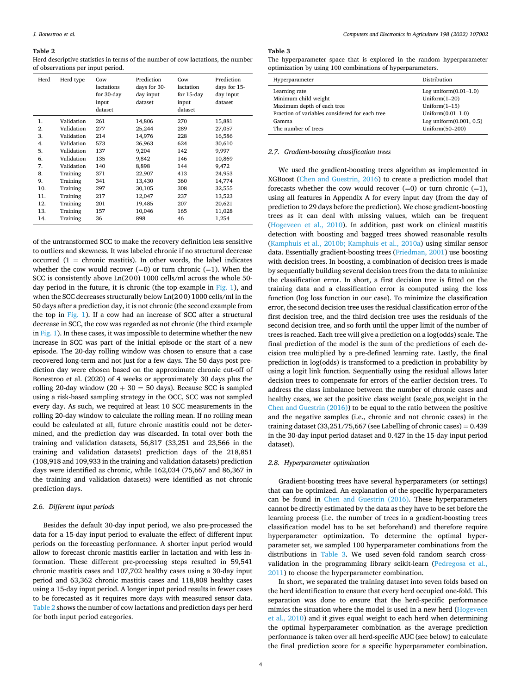#### <span id="page-3-0"></span>**Table 2**

Herd descriptive statistics in terms of the number of cow lactations, the number of observations per input period.

| Herd | Herd type  | Cow<br>lactations<br>for 30-day<br>input<br>dataset | Prediction<br>days for 30-<br>day input<br>dataset | Cow<br>lactation<br>for 15-day<br>input<br>dataset | Prediction<br>days for 15-<br>day input<br>dataset |
|------|------------|-----------------------------------------------------|----------------------------------------------------|----------------------------------------------------|----------------------------------------------------|
| 1.   | Validation | 261                                                 | 14,806                                             | 270                                                | 15,881                                             |
| 2.   | Validation | 277                                                 | 25,244                                             | 289                                                | 27,057                                             |
| 3.   | Validation | 214                                                 | 14,976                                             | 228                                                | 16,586                                             |
| 4.   | Validation | 573                                                 | 26,963                                             | 624                                                | 30,610                                             |
| 5.   | Validation | 137                                                 | 9,204                                              | 142                                                | 9,997                                              |
| 6.   | Validation | 135                                                 | 9,842                                              | 146                                                | 10,869                                             |
| 7.   | Validation | 140                                                 | 8,898                                              | 144                                                | 9,472                                              |
| 8.   | Training   | 371                                                 | 22,907                                             | 413                                                | 24,953                                             |
| 9.   | Training   | 341                                                 | 13,430                                             | 360                                                | 14,774                                             |
| 10.  | Training   | 297                                                 | 30,105                                             | 308                                                | 32,555                                             |
| 11.  | Training   | 217                                                 | 12,047                                             | 237                                                | 13,523                                             |
| 12.  | Training   | 201                                                 | 19,485                                             | 207                                                | 20,621                                             |
| 13.  | Training   | 157                                                 | 10,046                                             | 165                                                | 11,028                                             |
| 14.  | Training   | 36                                                  | 898                                                | 46                                                 | 1,254                                              |

of the untransformed SCC to make the recovery definition less sensitive to outliers and skewness. It was labeled chronic if no structural decrease occurred  $(1 =$  chronic mastitis). In other words, the label indicates whether the cow would recover  $(=0)$  or turn chronic  $(=1)$ . When the SCC is consistently above Ln(200) 1000 cells/ml across the whole 50 day period in the future, it is chronic (the top example in [Fig. 1\)](#page-2-0), and when the SCC decreases structurally below Ln(200) 1000 cells/ml in the 50 days after a prediction day, it is not chronic (the second example from the top in [Fig. 1\)](#page-2-0). If a cow had an increase of SCC after a structural decrease in SCC, the cow was regarded as not chronic (the third example in [Fig. 1\)](#page-2-0). In these cases, it was impossible to determine whether the new increase in SCC was part of the initial episode or the start of a new episode. The 20-day rolling window was chosen to ensure that a case recovered long-term and not just for a few days. The 50 days post prediction day were chosen based on the approximate chronic cut-off of Bonestroo et al. (2020) of 4 weeks or approximately 30 days plus the rolling 20-day window (20 + 30 = 50 days). Because SCC is sampled using a risk-based sampling strategy in the OCC, SCC was not sampled every day. As such, we required at least 10 SCC measurements in the rolling 20-day window to calculate the rolling mean. If no rolling mean could be calculated at all, future chronic mastitis could not be determined, and the prediction day was discarded. In total over both the training and validation datasets, 56,817 (33,251 and 23,566 in the training and validation datasets) prediction days of the 218,851 (108,918 and 109,933 in the training and validation datasets) prediction days were identified as chronic, while 162,034 (75,667 and 86,367 in the training and validation datasets) were identified as not chronic prediction days.

# *2.6. Different input periods*

Besides the default 30-day input period, we also pre-processed the data for a 15-day input period to evaluate the effect of different input periods on the forecasting performance. A shorter input period would allow to forecast chronic mastitis earlier in lactation and with less information. These different pre-processing steps resulted in 59,541 chronic mastitis cases and 107,702 healthy cases using a 30-day input period and 63,362 chronic mastitis cases and 118,808 healthy cases using a 15-day input period. A longer input period results in fewer cases to be forecasted as it requires more days with measured sensor data. Table 2 shows the number of cow lactations and prediction days per herd for both input period categories.

# **Table 3**

|                                                            |  |  |  | The hyperparameter space that is explored in the random hyperparameter |
|------------------------------------------------------------|--|--|--|------------------------------------------------------------------------|
| optimization by using 100 combinations of hyperparameters. |  |  |  |                                                                        |

| Hyperparameter                                 | Distribution               |
|------------------------------------------------|----------------------------|
| Learning rate                                  | Log uniform $(0.01-1.0)$   |
| Minimum child weight                           | Uniform $(1-20)$           |
| Maximum depth of each tree                     | Uniform $(1-15)$           |
| Fraction of variables considered for each tree | Uniform $(0.01-1.0)$       |
| Gamma                                          | Log uniform $(0.001, 0.5)$ |
| The number of trees                            | Uniform(50-200)            |

#### *2.7. Gradient-boosting classification trees*

We used the gradient-boosting trees algorithm as implemented in XGBoost [\(Chen and Guestrin, 2016\)](#page-8-0) to create a prediction model that forecasts whether the cow would recover  $(=0)$  or turn chronic  $(=1)$ , using all features in Appendix A for every input day (from the day of prediction to 29 days before the prediction). We chose gradient-boosting trees as it can deal with missing values, which can be frequent ([Hogeveen et al., 2010\)](#page-8-0). In addition, past work on clinical mastitis detection with boosting and bagged trees showed reasonable results ([Kamphuis et al., 2010b; Kamphuis et al., 2010a\)](#page-8-0) using similar sensor data. Essentially gradient-boosting trees [\(Friedman, 2001](#page-8-0)) use boosting with decision trees. In boosting, a combination of decision trees is made by sequentially building several decision trees from the data to minimize the classification error. In short, a first decision tree is fitted on the training data and a classification error is computed using the loss function (log loss function in our case). To minimize the classification error, the second decision tree uses the residual classification error of the first decision tree, and the third decision tree uses the residuals of the second decision tree, and so forth until the upper limit of the number of trees is reached. Each tree will give a prediction on a log(odds) scale. The final prediction of the model is the sum of the predictions of each decision tree multiplied by a pre-defined learning rate. Lastly, the final prediction in log(odds) is transformed to a prediction in probability by using a logit link function. Sequentially using the residual allows later decision trees to compensate for errors of the earlier decision trees. To address the class imbalance between the number of chronic cases and healthy cases, we set the positive class weight (scale\_pos\_weight in the [Chen and Guestrin \(2016\)\)](#page-8-0) to be equal to the ratio between the positive and the negative samples (i.e., chronic and not chronic cases) in the training dataset  $(33,251/75,667)$  (see Labelling of chronic cases) =  $0.439$ in the 30-day input period dataset and 0.427 in the 15-day input period dataset).

#### *2.8. Hyperparameter optimization*

Gradient-boosting trees have several hyperparameters (or settings) that can be optimized. An explanation of the specific hyperparameters can be found in [Chen and Guestrin \(2016\).](#page-8-0) These hyperparameters cannot be directly estimated by the data as they have to be set before the learning process (i.e. the number of trees in a gradient-boosting trees classification model has to be set beforehand) and therefore require hyperparameter optimization. To determine the optimal hyperparameter set, we sampled 100 hyperparameter combinations from the distributions in Table 3. We used seven-fold random search crossvalidation in the programming library scikit-learn ([Pedregosa et al.,](#page-8-0)  [2011\)](#page-8-0) to choose the hyperparameter combination.

In short, we separated the training dataset into seven folds based on the herd identification to ensure that every herd occupied one-fold. This separation was done to ensure that the herd-specific performance mimics the situation where the model is used in a new herd ([Hogeveen](#page-8-0)  [et al., 2010](#page-8-0)) and it gives equal weight to each herd when determining the optimal hyperparameter combination as the average prediction performance is taken over all herd-specific AUC (see below) to calculate the final prediction score for a specific hyperparameter combination.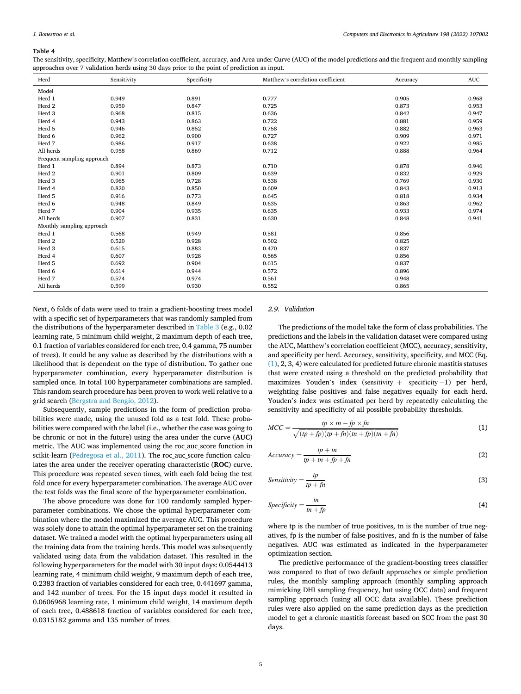#### <span id="page-4-0"></span>**Table 4**

The sensitivity, specificity, Matthew's correlation coefficient, accuracy, and Area under Curve (AUC) of the model predictions and the frequent and monthly sampling approaches over 7 validation herds using 30 days prior to the point of prediction as input.

| Herd                       | Sensitivity | Specificity | Matthew's correlation coefficient | Accuracy | <b>AUC</b> |
|----------------------------|-------------|-------------|-----------------------------------|----------|------------|
| Model                      |             |             |                                   |          |            |
| Herd 1                     | 0.949       | 0.891       | 0.777                             | 0.905    | 0.968      |
| Herd 2                     | 0.950       | 0.847       | 0.725                             | 0.873    | 0.953      |
| Herd 3                     | 0.968       | 0.815       | 0.636                             | 0.842    | 0.947      |
| Herd 4                     | 0.943       | 0.863       | 0.722                             | 0.881    | 0.959      |
| Herd 5                     | 0.946       | 0.852       | 0.758                             | 0.882    | 0.963      |
| Herd 6                     | 0.962       | 0.900       | 0.727                             | 0.909    | 0.971      |
| Herd 7                     | 0.986       | 0.917       | 0.638                             | 0.922    | 0.985      |
| All herds                  | 0.958       | 0.869       | 0.712                             | 0.888    | 0.964      |
| Frequent sampling approach |             |             |                                   |          |            |
| Herd 1                     | 0.894       | 0.873       | 0.710                             | 0.878    | 0.946      |
| Herd 2                     | 0.901       | 0.809       | 0.639                             | 0.832    | 0.929      |
| Herd 3                     | 0.965       | 0.728       | 0.538                             | 0.769    | 0.930      |
| Herd 4                     | 0.820       | 0.850       | 0.609                             | 0.843    | 0.913      |
| Herd 5                     | 0.916       | 0.773       | 0.645                             | 0.818    | 0.934      |
| Herd 6                     | 0.948       | 0.849       | 0.635                             | 0.863    | 0.962      |
| Herd 7                     | 0.904       | 0.935       | 0.635                             | 0.933    | 0.974      |
| All herds                  | 0.907       | 0.831       | 0.630                             | 0.848    | 0.941      |
| Monthly sampling approach  |             |             |                                   |          |            |
| Herd 1                     | 0.568       | 0.949       | 0.581                             | 0.856    |            |
| Herd 2                     | 0.520       | 0.928       | 0.502                             | 0.825    |            |
| Herd 3                     | 0.615       | 0.883       | 0.470                             | 0.837    |            |
| Herd 4                     | 0.607       | 0.928       | 0.565                             | 0.856    |            |
| Herd 5                     | 0.692       | 0.904       | 0.615                             | 0.837    |            |
| Herd 6                     | 0.614       | 0.944       | 0.572                             | 0.896    |            |
| Herd 7                     | 0.574       | 0.974       | 0.561                             | 0.948    |            |
| All herds                  | 0.599       | 0.930       | 0.552                             | 0.865    |            |

Next, 6 folds of data were used to train a gradient-boosting trees model with a specific set of hyperparameters that was randomly sampled from the distributions of the hyperparameter described in [Table 3](#page-3-0) (e.g., 0.02 learning rate, 5 minimum child weight, 2 maximum depth of each tree, 0.1 fraction of variables considered for each tree, 0.4 gamma, 75 number of trees). It could be any value as described by the distributions with a likelihood that is dependent on the type of distribution. To gather one hyperparameter combination, every hyperparameter distribution is sampled once. In total 100 hyperparameter combinations are sampled. This random search procedure has been proven to work well relative to a grid search [\(Bergstra and Bengio, 2012\)](#page-8-0).

Subsequently, sample predictions in the form of prediction probabilities were made, using the unused fold as a test fold. These probabilities were compared with the label (i.e., whether the case was going to be chronic or not in the future) using the area under the curve (**AUC**) metric. The AUC was implemented using the roc\_auc\_score function in scikit-learn ([Pedregosa et al., 2011\)](#page-8-0). The roc auc score function calculates the area under the receiver operating characteristic (**ROC**) curve. This procedure was repeated seven times, with each fold being the test fold once for every hyperparameter combination. The average AUC over the test folds was the final score of the hyperparameter combination.

The above procedure was done for 100 randomly sampled hyperparameter combinations. We chose the optimal hyperparameter combination where the model maximized the average AUC. This procedure was solely done to attain the optimal hyperparameter set on the training dataset. We trained a model with the optimal hyperparameters using all the training data from the training herds. This model was subsequently validated using data from the validation dataset. This resulted in the following hyperparameters for the model with 30 input days: 0.0544413 learning rate, 4 minimum child weight, 9 maximum depth of each tree, 0.2383 fraction of variables considered for each tree, 0.441697 gamma, and 142 number of trees. For the 15 input days model it resulted in 0.0606968 learning rate, 1 minimum child weight, 14 maximum depth of each tree, 0.488618 fraction of variables considered for each tree, 0.0315182 gamma and 135 number of trees.

# *2.9. Validation*

The predictions of the model take the form of class probabilities. The predictions and the labels in the validation dataset were compared using the AUC, Matthew's correlation coefficient (MCC), accuracy, sensitivity, and specificity per herd. Accuracy, sensitivity, specificity, and MCC (Eq. (1), 2, 3, 4) were calculated for predicted future chronic mastitis statuses that were created using a threshold on the predicted probability that maximizes Youden's index (sensitivity + specificity  $-1$ ) per herd, weighting false positives and false negatives equally for each herd. Youden's index was estimated per herd by repeatedly calculating the sensitivity and specificity of all possible probability thresholds.

$$
MCC = \frac{tp \times tn - fp \times fn}{\sqrt{(tp + fp)(tp + fn)(tn + fp)(tn + fn)}}\tag{1}
$$

$$
Accuracy = \frac{tp + tn}{tp + tn + fp + fn}
$$
 (2)

$$
Sensitivity = \frac{tp}{tp + fn}
$$
 (3)

$$
Specificity = \frac{tn}{tn + fp} \tag{4}
$$

where tp is the number of true positives, tn is the number of true negatives, fp is the number of false positives, and fn is the number of false negatives. AUC was estimated as indicated in the hyperparameter optimization section.

The predictive performance of the gradient-boosting trees classifier was compared to that of two default approaches or simple prediction rules, the monthly sampling approach (monthly sampling approach mimicking DHI sampling frequency, but using OCC data) and frequent sampling approach (using all OCC data available). These prediction rules were also applied on the same prediction days as the prediction model to get a chronic mastitis forecast based on SCC from the past 30 days.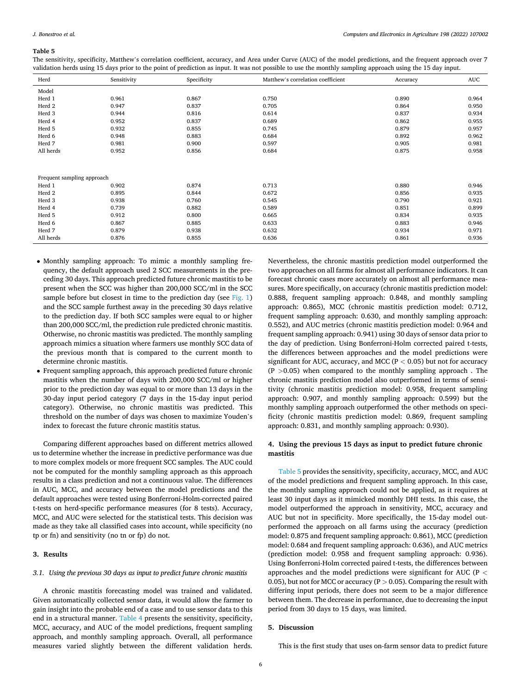#### *J. Bonestroo et al.*

#### **Table 5**

The sensitivity, specificity, Matthew's correlation coefficient, accuracy, and Area under Curve (AUC) of the model predictions, and the frequent approach over 7 validation herds using 15 days prior to the point of prediction as input. It was not possible to use the monthly sampling approach using the 15 day input.

| Herd                       | Sensitivity | Specificity | Matthew's correlation coefficient | Accuracy | <b>AUC</b> |
|----------------------------|-------------|-------------|-----------------------------------|----------|------------|
| Model                      |             |             |                                   |          |            |
| Herd 1                     | 0.961       | 0.867       | 0.750                             | 0.890    | 0.964      |
| Herd 2                     | 0.947       | 0.837       | 0.705                             | 0.864    | 0.950      |
| Herd 3                     | 0.944       | 0.816       | 0.614                             | 0.837    | 0.934      |
| Herd 4                     | 0.952       | 0.837       | 0.689                             | 0.862    | 0.955      |
| Herd 5                     | 0.932       | 0.855       | 0.745                             | 0.879    | 0.957      |
| Herd 6                     | 0.948       | 0.883       | 0.684                             | 0.892    | 0.962      |
| Herd 7                     | 0.981       | 0.900       | 0.597                             | 0.905    | 0.981      |
| All herds                  | 0.952       | 0.856       | 0.684                             | 0.875    | 0.958      |
|                            |             |             |                                   |          |            |
|                            |             |             |                                   |          |            |
| Frequent sampling approach |             |             |                                   |          |            |
| Herd 1                     | 0.902       | 0.874       | 0.713                             | 0.880    | 0.946      |
| Herd 2                     | 0.895       | 0.844       | 0.672                             | 0.856    | 0.935      |
| Herd 3                     | 0.938       | 0.760       | 0.545                             | 0.790    | 0.921      |
| Herd 4                     | 0.739       | 0.882       | 0.589                             | 0.851    | 0.899      |
| Herd 5                     | 0.912       | 0.800       | 0.665                             | 0.834    | 0.935      |
| Herd 6                     | 0.867       | 0.885       | 0.633                             | 0.883    | 0.946      |
| Herd 7                     | 0.879       | 0.938       | 0.632                             | 0.934    | 0.971      |
| All herds                  | 0.876       | 0.855       | 0.636                             | 0.861    | 0.936      |

- Monthly sampling approach: To mimic a monthly sampling frequency, the default approach used 2 SCC measurements in the preceding 30 days. This approach predicted future chronic mastitis to be present when the SCC was higher than 200,000 SCC/ml in the SCC sample before but closest in time to the prediction day (see  $Fig. 1)$ and the SCC sample furthest away in the preceding 30 days relative to the prediction day. If both SCC samples were equal to or higher than 200,000 SCC/ml, the prediction rule predicted chronic mastitis. Otherwise, no chronic mastitis was predicted. The monthly sampling approach mimics a situation where farmers use monthly SCC data of the previous month that is compared to the current month to determine chronic mastitis.
- Frequent sampling approach, this approach predicted future chronic mastitis when the number of days with 200,000 SCC/ml or higher prior to the prediction day was equal to or more than 13 days in the 30-day input period category (7 days in the 15-day input period category). Otherwise, no chronic mastitis was predicted. This threshold on the number of days was chosen to maximize Youden's index to forecast the future chronic mastitis status.

Comparing different approaches based on different metrics allowed us to determine whether the increase in predictive performance was due to more complex models or more frequent SCC samples. The AUC could not be computed for the monthly sampling approach as this approach results in a class prediction and not a continuous value. The differences in AUC, MCC, and accuracy between the model predictions and the default approaches were tested using Bonferroni-Holm-corrected paired t-tests on herd-specific performance measures (for 8 tests). Accuracy, MCC, and AUC were selected for the statistical tests. This decision was made as they take all classified cases into account, while specificity (no tp or fn) and sensitivity (no tn or fp) do not.

# **3. Results**

#### *3.1. Using the previous 30 days as input to predict future chronic mastitis*

A chronic mastitis forecasting model was trained and validated. Given automatically collected sensor data, it would allow the farmer to gain insight into the probable end of a case and to use sensor data to this end in a structural manner. [Table 4](#page-4-0) presents the sensitivity, specificity, MCC, accuracy, and AUC of the model predictions, frequent sampling approach, and monthly sampling approach. Overall, all performance measures varied slightly between the different validation herds.

Nevertheless, the chronic mastitis prediction model outperformed the two approaches on all farms for almost all performance indicators. It can forecast chronic cases more accurately on almost all performance measures. More specifically, on accuracy (chronic mastitis prediction model: 0.888, frequent sampling approach: 0.848, and monthly sampling approach: 0.865), MCC (chronic mastitis prediction model: 0.712, frequent sampling approach: 0.630, and monthly sampling approach: 0.552), and AUC metrics (chronic mastitis prediction model: 0.964 and frequent sampling approach: 0.941) using 30 days of sensor data prior to the day of prediction. Using Bonferroni-Holm corrected paired t-tests, the differences between approaches and the model predictions were significant for AUC, accuracy, and MCC (P *<* 0.05) but not for accuracy (P *>*0.05) when compared to the monthly sampling approach . The chronic mastitis prediction model also outperformed in terms of sensitivity (chronic mastitis prediction model: 0.958, frequent sampling approach: 0.907, and monthly sampling approach: 0.599) but the monthly sampling approach outperformed the other methods on specificity (chronic mastitis prediction model: 0.869, frequent sampling approach: 0.831, and monthly sampling approach: 0.930).

# **4. Using the previous 15 days as input to predict future chronic mastitis**

Table 5 provides the sensitivity, specificity, accuracy, MCC, and AUC of the model predictions and frequent sampling approach. In this case, the monthly sampling approach could not be applied, as it requires at least 30 input days as it mimicked monthly DHI tests. In this case, the model outperformed the approach in sensitivity, MCC, accuracy and AUC but not in specificity. More specifically, the 15-day model outperformed the approach on all farms using the accuracy (prediction model: 0.875 and frequent sampling approach: 0.861), MCC (prediction model: 0.684 and frequent sampling approach: 0.636), and AUC metrics (prediction model: 0.958 and frequent sampling approach: 0.936). Using Bonferroni-Holm corrected paired t-tests, the differences between approaches and the model predictions were significant for AUC (P *<* 0.05), but not for MCC or accuracy (P *>* 0.05). Comparing the result with differing input periods, there does not seem to be a major difference between them. The decrease in performance, due to decreasing the input period from 30 days to 15 days, was limited.

# **5. Discussion**

This is the first study that uses on-farm sensor data to predict future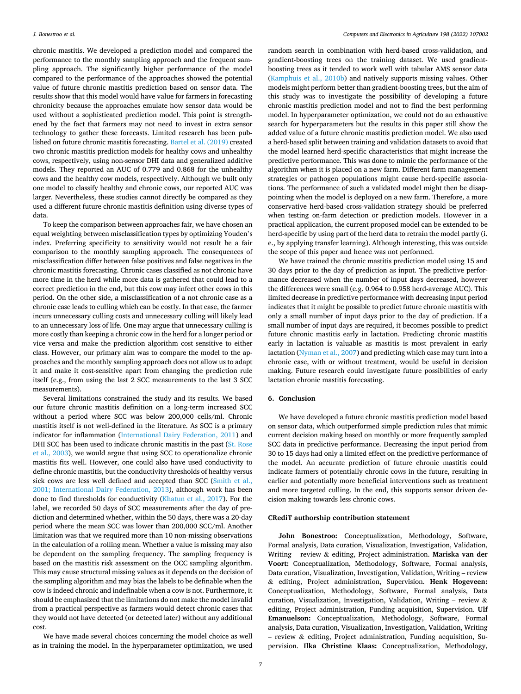chronic mastitis. We developed a prediction model and compared the performance to the monthly sampling approach and the frequent sampling approach. The significantly higher performance of the model compared to the performance of the approaches showed the potential value of future chronic mastitis prediction based on sensor data. The results show that this model would have value for farmers in forecasting chronicity because the approaches emulate how sensor data would be used without a sophisticated prediction model. This point is strengthened by the fact that farmers may not need to invest in extra sensor technology to gather these forecasts. Limited research has been published on future chronic mastitis forecasting. [Bartel et al. \(2019\)](#page-8-0) created two chronic mastitis prediction models for healthy cows and unhealthy cows, respectively, using non-sensor DHI data and generalized additive models. They reported an AUC of 0.779 and 0.868 for the unhealthy cows and the healthy cow models, respectively. Although we built only one model to classify healthy and chronic cows, our reported AUC was larger. Nevertheless, these studies cannot directly be compared as they used a different future chronic mastitis definition using diverse types of data.

To keep the comparison between approaches fair, we have chosen an equal weighting between misclassification types by optimizing Youden's index. Preferring specificity to sensitivity would not result be a fair comparison to the monthly sampling approach. The consequences of misclassification differ between false positives and false negatives in the chronic mastitis forecasting. Chronic cases classified as not chronic have more time in the herd while more data is gathered that could lead to a correct prediction in the end, but this cow may infect other cows in this period. On the other side, a misclassification of a not chronic case as a chronic case leads to culling which can be costly. In that case, the farmer incurs unnecessary culling costs and unnecessary culling will likely lead to an unnecessary loss of life. One may argue that unnecessary culling is more costly than keeping a chronic cow in the herd for a longer period or vice versa and make the prediction algorithm cost sensitive to either class. However, our primary aim was to compare the model to the approaches and the monthly sampling approach does not allow us to adapt it and make it cost-sensitive apart from changing the prediction rule itself (e.g., from using the last 2 SCC measurements to the last 3 SCC measurements).

Several limitations constrained the study and its results. We based our future chronic mastitis definition on a long-term increased SCC without a period where SCC was below 200,000 cells/ml. Chronic mastitis itself is not well-defined in the literature. As SCC is a primary indicator for inflammation [\(International Dairy Federation, 2011\)](#page-8-0) and DHI SCC has been used to indicate chronic mastitis in the past ([St. Rose](#page-8-0)  [et al., 2003](#page-8-0)), we would argue that using SCC to operationalize chronic mastitis fits well. However, one could also have used conductivity to define chronic mastitis, but the conductivity thresholds of healthy versus sick cows are less well defined and accepted than SCC ([Smith et al.,](#page-8-0)  [2001; International Dairy Federation, 2013](#page-8-0)), although work has been done to find thresholds for conductivity ([Khatun et al., 2017\)](#page-8-0). For the label, we recorded 50 days of SCC measurements after the day of prediction and determined whether, within the 50 days, there was a 20-day period where the mean SCC was lower than 200,000 SCC/ml. Another limitation was that we required more than 10 non-missing observations in the calculation of a rolling mean. Whether a value is missing may also be dependent on the sampling frequency. The sampling frequency is based on the mastitis risk assessment on the OCC sampling algorithm. This may cause structural missing values as it depends on the decision of the sampling algorithm and may bias the labels to be definable when the cow is indeed chronic and indefinable when a cow is not. Furthermore, it should be emphasized that the limitations do not make the model invalid from a practical perspective as farmers would detect chronic cases that they would not have detected (or detected later) without any additional cost.

We have made several choices concerning the model choice as well as in training the model. In the hyperparameter optimization, we used random search in combination with herd-based cross-validation, and gradient-boosting trees on the training dataset. We used gradientboosting trees as it tended to work well with tabular AMS sensor data ([Kamphuis et al., 2010b\)](#page-8-0) and natively supports missing values. Other models might perform better than gradient-boosting trees, but the aim of this study was to investigate the possibility of developing a future chronic mastitis prediction model and not to find the best performing model. In hyperparameter optimization, we could not do an exhaustive search for hyperparameters but the results in this paper still show the added value of a future chronic mastitis prediction model. We also used a herd-based split between training and validation datasets to avoid that the model learned herd-specific characteristics that might increase the predictive performance. This was done to mimic the performance of the algorithm when it is placed on a new farm. Different farm management strategies or pathogen populations might cause herd-specific associations. The performance of such a validated model might then be disappointing when the model is deployed on a new farm. Therefore, a more conservative herd-based cross-validation strategy should be preferred when testing on-farm detection or prediction models. However in a practical application, the current proposed model can be extended to be herd-specific by using part of the herd data to retrain the model partly (i. e., by applying transfer learning). Although interesting, this was outside the scope of this paper and hence was not performed.

We have trained the chronic mastitis prediction model using 15 and 30 days prior to the day of prediction as input. The predictive performance decreased when the number of input days decreased, however the differences were small (e.g. 0.964 to 0.958 herd-average AUC). This limited decrease in predictive performance with decreasing input period indicates that it might be possible to predict future chronic mastitis with only a small number of input days prior to the day of prediction. If a small number of input days are required, it becomes possible to predict future chronic mastitis early in lactation. Predicting chronic mastitis early in lactation is valuable as mastitis is most prevalent in early lactation [\(Nyman et al., 2007\)](#page-8-0) and predicting which case may turn into a chronic case, with or without treatment, would be useful in decision making. Future research could investigate future possibilities of early lactation chronic mastitis forecasting.

# **6. Conclusion**

We have developed a future chronic mastitis prediction model based on sensor data, which outperformed simple prediction rules that mimic current decision making based on monthly or more frequently sampled SCC data in predictive performance. Decreasing the input period from 30 to 15 days had only a limited effect on the predictive performance of the model. An accurate prediction of future chronic mastitis could indicate farmers of potentially chronic cows in the future, resulting in earlier and potentially more beneficial interventions such as treatment and more targeted culling. In the end, this supports sensor driven decision making towards less chronic cows.

# **CRediT authorship contribution statement**

**John Bonestroo:** Conceptualization, Methodology, Software, Formal analysis, Data curation, Visualization, Investigation, Validation, Writing – review & editing, Project administration. **Mariska van der Voort:** Conceptualization, Methodology, Software, Formal analysis, Data curation, Visualization, Investigation, Validation, Writing – review & editing, Project administration, Supervision. **Henk Hogeveen:**  Conceptualization, Methodology, Software, Formal analysis, Data curation, Visualization, Investigation, Validation, Writing – review & editing, Project administration, Funding acquisition, Supervision. **Ulf Emanuelson:** Conceptualization, Methodology, Software, Formal analysis, Data curation, Visualization, Investigation, Validation, Writing – review & editing, Project administration, Funding acquisition, Supervision. **Ilka Christine Klaas:** Conceptualization, Methodology,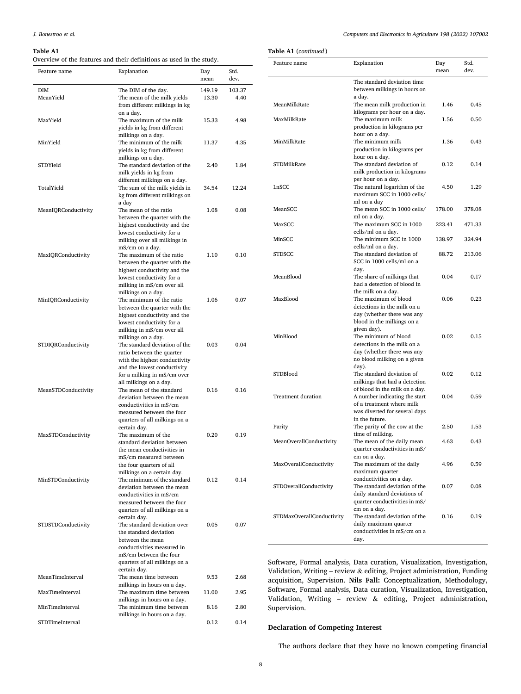#### <span id="page-7-0"></span>**Table A1**

Overview of the features and their definitions as used in the study.

**Table A1** (*continued* )

| Feature name        | Overview of the features and their definitions as used in the study.<br>Explanation                                                                |                 | Std.           | Feature              |
|---------------------|----------------------------------------------------------------------------------------------------------------------------------------------------|-----------------|----------------|----------------------|
|                     |                                                                                                                                                    | Day<br>mean     | dev.           |                      |
| DIM<br>MeanYield    | The DIM of the day.<br>The mean of the milk yields<br>from different milkings in kg                                                                | 149.19<br>13.30 | 103.37<br>4.40 | MeanM                |
| MaxYield            | on a day.<br>The maximum of the milk<br>yields in kg from different                                                                                | 15.33           | 4.98           | MaxMil               |
| MinYield            | milkings on a day.<br>The minimum of the milk<br>yields in kg from different                                                                       | 11.37           | 4.35           | MinMil               |
| STDYield            | milkings on a day.<br>The standard deviation of the<br>milk yields in kg from                                                                      | 2.40            | 1.84           | STDMil               |
| TotalYield          | different milkings on a day.<br>The sum of the milk yields in<br>kg from different milkings on                                                     | 34.54           | 12.24          | LnSCC                |
| MeanIQRConductivity | a day<br>The mean of the ratio<br>between the quarter with the                                                                                     | 1.08            | 0.08           | Mean <sub>S</sub>    |
|                     | highest conductivity and the<br>lowest conductivity for a<br>milking over all milkings in                                                          |                 |                | MaxSC<br>MinSCO      |
| MaxIQRConductivity  | mS/cm on a day.<br>The maximum of the ratio<br>between the quarter with the                                                                        | 1.10            | 0.10           | <b>STDSCO</b>        |
|                     | highest conductivity and the<br>lowest conductivity for a<br>milking in mS/cm over all                                                             |                 |                | MeanBl               |
| MinIQRConductivity  | milkings on a day.<br>The minimum of the ratio<br>between the quarter with the<br>highest conductivity and the<br>lowest conductivity for a        | 1.06            | 0.07           | MaxBlo               |
| STDIQRConductivity  | milking in mS/cm over all<br>milkings on a day.<br>The standard deviation of the<br>ratio between the quarter<br>with the highest conductivity     | 0.03            | 0.04           | MinBlo               |
|                     | and the lowest conductivity<br>for a milking in mS/cm over                                                                                         |                 |                | <b>STDBlo</b>        |
| MeanSTDConductivity | all milkings on a day.<br>The mean of the standard<br>deviation between the mean<br>conductivities in mS/cm<br>measured between the four           | 0.16            | 0.16           | Treatm               |
|                     | quarters of all milkings on a<br>certain day.                                                                                                      |                 |                | Parity               |
| MaxSTDConductivity  | The maximum of the<br>standard deviation between<br>the mean conductivities in                                                                     | 0.20            | 0.19           | MeanO                |
|                     | mS/cm measured between<br>the four quarters of all<br>milkings on a certain day.                                                                   |                 |                | MaxOv                |
| MinSTDConductivity  | The minimum of the standard<br>deviation between the mean<br>conductivities in mS/cm<br>measured between the four<br>quarters of all milkings on a | 0.12            | 0.14           | <b>STDOve</b>        |
| STDSTDConductivity  | certain day.<br>The standard deviation over<br>the standard deviation<br>between the mean                                                          | 0.05            | 0.07           | STDMa                |
|                     | conductivities measured in<br>mS/cm between the four<br>quarters of all milkings on a                                                              |                 |                | Softwar              |
| MeanTimeInterval    | certain day.<br>The mean time between                                                                                                              | 9.53            | 2.68           | Validati<br>acquisit |
| MaxTimeInterval     | milkings in hours on a day.<br>The maximum time between<br>milkings in hours on a day.                                                             | 11.00           | 2.95           | Softwar<br>Validati  |
| MinTimeInterval     | The minimum time between<br>milkings in hours on a day.                                                                                            | 8.16            | 2.80           | Supervi              |
| STDTimeInterval     |                                                                                                                                                    | 0.12            | 0.14           |                      |

| Feature name              | Explanation                                                                                                                                                   | Day<br>mean | Std.<br>dev. |
|---------------------------|---------------------------------------------------------------------------------------------------------------------------------------------------------------|-------------|--------------|
|                           | The standard deviation time<br>between milkings in hours on<br>a day.                                                                                         |             |              |
| MeanMilkRate              | The mean milk production in<br>kilograms per hour on a day.                                                                                                   | 1.46        | 0.45         |
| MaxMilkRate               | The maximum milk<br>production in kilograms per                                                                                                               | 1.56        | 0.50         |
| MinMilkRate               | hour on a day.<br>The minimum milk<br>production in kilograms per                                                                                             | 1.36        | 0.43         |
| STDMilkRate               | hour on a day.<br>The standard deviation of<br>milk production in kilograms                                                                                   | 0.12        | 0.14         |
| LnSCC                     | per hour on a day.<br>The natural logarithm of the<br>maximum SCC in 1000 cells/                                                                              | 4.50        | 1.29         |
| MeanSCC                   | ml on a day<br>The mean SCC in 1000 cells/<br>ml on a day.                                                                                                    | 178.00      | 378.08       |
| MaxSCC                    | The maximum SCC in 1000<br>cells/ml on a day.                                                                                                                 | 223.41      | 471.33       |
| MinSCC                    | The minimum SCC in 1000<br>cells/ml on a day.                                                                                                                 | 138.97      | 324.94       |
| <b>STDSCC</b>             | The standard deviation of<br>SCC in 1000 cells/ml on a<br>day.                                                                                                | 88.72       | 213.06       |
| MeanBlood                 | The share of milkings that<br>had a detection of blood in                                                                                                     | 0.04        | 0.17         |
| MaxBlood                  | the milk on a day.<br>The maximum of blood<br>detections in the milk on a<br>day (whether there was any                                                       | 0.06        | 0.23         |
| MinBlood                  | blood in the milkings on a<br>given day).<br>The minimum of blood<br>detections in the milk on a<br>day (whether there was any<br>no blood milking on a given | 0.02        | 0.15         |
| STDBlood                  | day).<br>The standard deviation of<br>milkings that had a detection                                                                                           | 0.02        | 0.12         |
| <b>Treatment duration</b> | of blood in the milk on a day.<br>A number indicating the start<br>of a treatment where milk<br>was diverted for several days                                 | 0.04        | 0.59         |
| Parity                    | in the future.<br>The parity of the cow at the<br>time of milking.                                                                                            | 2.50        | 1.53         |
| MeanOverallConductivity   | The mean of the daily mean<br>quarter conductivities in mS/                                                                                                   | 4.63        | 0.43         |
| MaxOverallConductivity    | cm on a day.<br>The maximum of the daily<br>maximum quarter                                                                                                   | 4.96        | 0.59         |
| STDOverallConductivity    | conductivities on a day.<br>The standard deviation of the<br>daily standard deviations of<br>quarter conductivities in mS/                                    | 0.07        | 0.08         |
| STDMaxOverallConductivity | cm on a day.<br>The standard deviation of the<br>daily maximum quarter<br>conductivities in mS/cm on a                                                        | 0.16        | 0.19         |
|                           | day.                                                                                                                                                          |             |              |

re, Formal analysis, Data curation, Visualization, Investigation, ion, Writing – review & editing, Project administration, Funding tion, Supervision. Nils Fall: Conceptualization, Methodology, re, Formal analysis, Data curation, Visualization, Investigation, ion, Writing - review & editing, Project administration, ision.

# **Declaration of Competing Interest**

The authors declare that they have no known competing financial